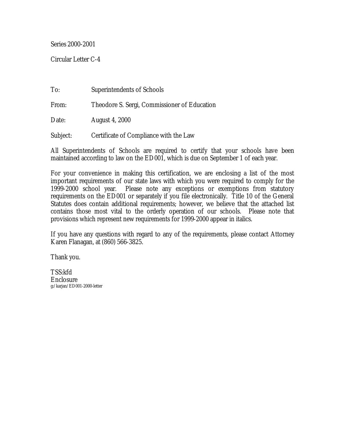Series 2000-2001

Circular Letter C-4

To: Superintendents of Schools From: Theodore S. Sergi, Commissioner of Education Date: August 4, 2000 Subject: Certificate of Compliance with the Law

All Superintendents of Schools are required to certify that your schools have been maintained according to law on the ED001, which is due on September 1 of each year.

For your convenience in making this certification, we are enclosing a list of the most important requirements of our state laws with which you were required to comply for the 1999-2000 school year. Please note any exceptions or exemptions from statutory requirements on the ED001 or separately if you file electronically. Title 10 of the General Statutes does contain additional requirements; however, we believe that the attached list contains those most vital to the orderly operation of our schools. Please note that provisions which represent new requirements for 1999-2000 appear in italics.

If you have any questions with regard to any of the requirements, please contact Attorney Karen Flanagan, at (860) 566-3825.

Thank you.

TSS:kfd Enclosure g:/karjan/ED001-2000-letter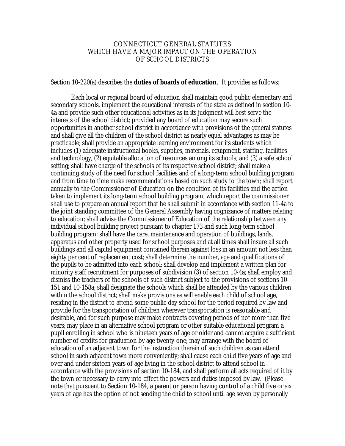## CONNECTICUT GENERAL STATUTES WHICH HAVE A MAJOR IMPACT ON THE OPERATION OF SCHOOL DISTRICTS

## Section 10-220(a) describes the **duties of boards of education**. It provides as follows:

Each local or regional board of education shall maintain good public elementary and secondary schools, implement the educational interests of the state as defined in section 10- 4a and provide such other educational activities as in its judgment will best serve the interests of the school district; provided any board of education may secure such opportunities in another school district in accordance with provisions of the general statutes and shall give all the children of the school district as nearly equal advantages as may be practicable; shall provide an appropriate learning environment for its students which includes (1) adequate instructional books, supplies, materials, equipment, staffing, facilities and technology, (2) equitable allocation of resources among its schools, and (3) a safe school setting; shall have charge of the schools of its respective school district; shall make a continuing study of the need for school facilities and of a long-term school building program and from time to time make recommendations based on such study to the town; shall report annually to the Commissioner of Education on the condition of its facilities and the action taken to implement its long-term school building program, which report the commissioner shall use to prepare an annual report that he shall submit in accordance with section 11-4a to the joint standing committee of the General Assembly having cognizance of matters relating to education; shall advise the Commissioner of Education of the relationship between any individual school building project pursuant to chapter 173 and such long-term school building program; shall have the care, maintenance and operation of buildings, lands, apparatus and other property used for school purposes and at all times shall insure all such buildings and all capital equipment contained therein against loss in an amount not less than eighty per cent of replacement cost; shall determine the number, age and qualifications of the pupils to be admitted into each school; shall develop and implement a written plan for minority staff recruitment for purposes of subdivision (3) of section 10-4a; shall employ and dismiss the teachers of the schools of such district subject to the provisions of sections 10- 151 and 10-158a; shall designate the schools which shall be attended by the various children within the school district; shall make provisions as will enable each child of school age, residing in the district to attend some public day school for the period required by law and provide for the transportation of children wherever transportation is reasonable and desirable, and for such purpose may make contracts covering periods of not more than five years; may place in an alternative school program or other suitable educational program a pupil enrolling in school who is nineteen years of age or older and cannot acquire a sufficient number of credits for graduation by age twenty-one; may arrange with the board of education of an adjacent town for the instruction therein of such children as can attend school in such adjacent town more conveniently; shall cause each child five years of age and over and under sixteen years of age living in the school district to attend school in accordance with the provisions of section 10-184, and shall perform all acts required of it by the town or necessary to carry into effect the powers and duties imposed by law. (Please note that pursuant to Section 10-184, a parent or person having control of a child five or six years of age has the option of not sending the child to school until age seven by personally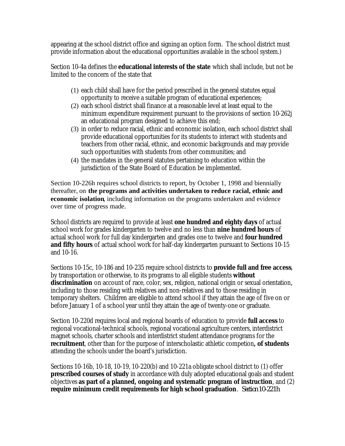appearing at the school district office and signing an option form. The school district must provide information about the educational opportunities available in the school system.)

Section 10-4a defines the **educational interests of the state** which shall include, but not be limited to the concern of the state that

- (1) each child shall have for the period prescribed in the general statutes equal opportunity to receive a suitable program of educational experiences;
- (2) each school district shall finance at a reasonable level at least equal to the minimum expenditure requirement pursuant to the provisions of section 10-262j an educational program designed to achieve this end;
- (3) in order to reduce racial, ethnic and economic isolation, each school district shall provide educational opportunities for its students to interact with students and teachers from other racial, ethnic, and economic backgrounds and may provide such opportunities with students from other communities; and
- (4) the mandates in the general statutes pertaining to education within the jurisdiction of the State Board of Education be implemented.

Section 10-226h requires school districts to report, by October 1, 1998 and biennially thereafter, on **the programs and activities undertaken to reduce racial, ethnic and economic isolation**, including information on the programs undertaken and evidence over time of progress made.

School districts are required to provide at least **one hundred and eighty days** of actual school work for grades kindergarten to twelve and no less than **nine hundred hours** of actual school work for full day kindergarten and grades one to twelve and **four hundred and fifty hours** of actual school work for half-day kindergarten pursuant to Sections 10-15 and 10-16.

Sections 10-15c, 10-186 and 10-235 require school districts to **provide full and free access**, by transportation or otherwise, to its programs to all eligible students **without discrimination** on account of race, color, sex, religion, national origin or sexual orientation*,*  including to those residing with relatives and non-relatives and to those residing in temporary shelters. Children are eligible to attend school if they attain the age of five on or before January 1 of a school year until they attain the age of twenty-one or graduate.

Section 10-220d requires local and regional boards of education to provide **full access** to regional vocational-technical schools, regional vocational agriculture centers, interdistrict magnet schools, charter schools and interdistrict student attendance programs for the **recruitment**, other than for the purpose of interscholastic athletic competion**, of students**  attending the schools under the board's jurisdiction.

Sections 10-16b, 10-18, 10-19, 10-220(b) and 10-221a obligate school district to (1) offer **prescribed courses of study** in accordance with duly adopted educational goals and student objectives **as part of a planned, ongoing and systematic program of instruction**, and (2) **require minimum credit requirements for high school graduation**. *Section 10-221h*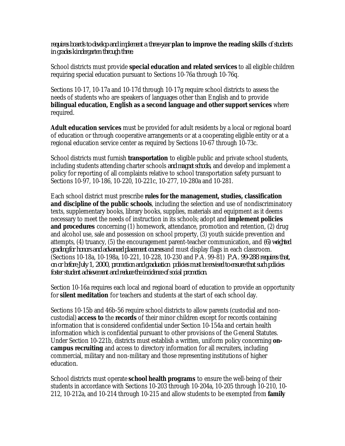*requires boards to develop and implement a three-year plan to improve the reading skills of students in grades kindergarten through three.* 

School districts must provide **special education and related services** to all eligible children requiring special education pursuant to Sections 10-76a through 10-76q.

Sections 10-17, 10-17a and 10-17d through 10-17g require school districts to assess the needs of students who are speakers of languages other than English and to provide **bilingual education,** *English as a second language and other support services* where required.

**Adult education services** must be provided for adult residents by a local or regional board of education or through cooperative arrangements or at a cooperating eligible entity or at a regional education service center as required by Sections 10-67 through 10-73c.

School districts must furnish **transportation** to eligible public and private school students, including students attending charter schools *and magnet schools*, and develop and implement a policy for reporting of all complaints relative to school transportation safety pursuant to Sections 10-97, 10-186, 10-220, 10-221c, 10-277, 10-280a and 10-281.

Each school district must prescribe **rules for the management, studies, classification and discipline of the public schools**, including the selection and use of nondiscriminatory texts, supplementary books, library books, supplies, materials and equipment as it deems necessary to meet the needs of instruction in its schools; adopt and **implement policies and procedures** concerning (1) homework, attendance, promotion and retention, (2) drug and alcohol use, sale and possession on school property, (3) youth suicide prevention and attempts, (4) truancy, (5) the encouragement parent-teacher communication*,* and *(6) weighted grading for honors and advanced placement courses* and must display flags in each classroom. (Sections 10-18a, 10-198a, 10-221, 10-228, 10-230 and P.A. 99-81) *P.A. 99-288 requires that, on or before July 1, 2000, promotion and graduation policies must be revised to ensure that such policies foster student achievement and reduce the incidence of social promotion.* 

Section 10-16a requires each local and regional board of education to provide an opportunity for **silent meditation** for teachers and students at the start of each school day.

Sections 10-15b and 46b-56 require school districts to allow parents (custodial and noncustodial) **access to** the **records** of their minor children except for records containing information that is considered confidential under Section 10-154a and certain health information which is confidential pursuant to other provisions of the General Statutes. Under Section 10-221b, districts must establish a written, uniform policy concerning **oncampus recruiting** and access to directory information for all recruiters, including commercial, military and non-military and those representing institutions of higher education.

School districts must operate **school health programs** to ensure the well-being of their students in accordance with Sections 10-203 through 10-204a, 10-205 through 10-210, 10- 212, 10-212a, and 10-214 through 10-215 and allow students to be exempted from **family**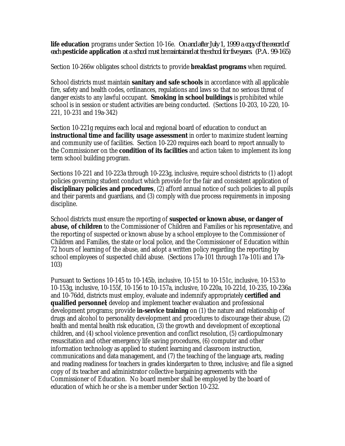**life education** programs under Section 10-16e. *On and after July 1, 1999 a copy of the record of each pesticide application at a school must be maintained at the school for five years. (P.A. 99-165)* 

Section 10-266w obligates school districts to provide **breakfast programs** when required.

School districts must maintain **sanitary and safe schools** in accordance with all applicable fire, safety and health codes, ordinances, regulations and laws so that no serious threat of danger exists to any lawful occupant. **Smoking in school buildings** is prohibited while school is in session or student activities are being conducted. (Sections 10-203, 10-220, 10- 221, 10-231 and 19a-342)

Section 10-221g requires each local and regional board of education to conduct an **instructional time and facility usage assessment** in order to maximize student learning and community use of facilities. Section 10-220 requires each board to report annually to the Commissioner on the **condition of its facilities** and action taken to implement its long term school building program.

Sections 10-221 and 10-223a through 10-223g, inclusive, require school districts to (1) adopt policies governing student conduct which provide for the fair and consistent application of **disciplinary policies and procedures**, (2) afford annual notice of such policies to all pupils and their parents and guardians, and (3) comply with due process requirements in imposing discipline.

School districts must ensure the reporting of **suspected or known abuse, or danger of abuse, of children** to the Commissioner of Children and Families or his representative, and the reporting of suspected or known abuse by a school employee to the Commissioner of Children and Families, the state or local police, and the Commissioner of Education within 72 hours of learning of the abuse, and adopt a written policy regarding the reporting by school employees of suspected child abuse. (Sections 17a-101 through 17a-101i and 17a-103)

Pursuant to Sections 10-145 to 10-145b, inclusive, 10-151 to 10-151c, inclusive, 10-153 to 10-153g, inclusive, 10-155f, 10-156 to 10-157a, inclusive, 10-220a, 10-221d, 10-235, 10-236a and 10-76dd, districts must employ, evaluate and indemnify appropriately **certified and qualified personnel**; develop and implement teacher evaluation and professional development programs; provide **in-service training** on (1) the nature and relationship of drugs and alcohol to personality development and procedures to discourage their abuse, (2) health and mental health risk education, (3) the growth and development of exceptional children, and (4) school violence prevention and conflict resolution, (5) cardiopulmonary resuscitation and other emergency life saving procedures, (6) computer and other information technology as applied to student learning and classroom instruction, communications and data management, and (7) the teaching of the language arts, reading and reading readiness for teachers in grades kindergarten to three*,* inclusive; and file a signed copy of its teacher and administrator collective bargaining agreements with the Commissioner of Education. No board member shall be employed by the board of education of which he or she is a member under Section 10-232.